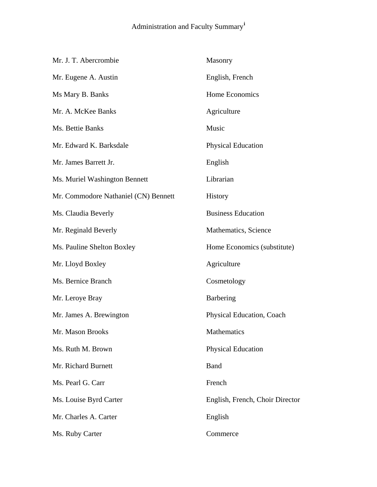## Administration and Faculty Summary**[i](#page-3-0)**

| Mr. J. T. Abercrombie                | Masonry                         |
|--------------------------------------|---------------------------------|
| Mr. Eugene A. Austin                 | English, French                 |
| Ms Mary B. Banks                     | Home Economics                  |
| Mr. A. McKee Banks                   | Agriculture                     |
| Ms. Bettie Banks                     | Music                           |
| Mr. Edward K. Barksdale              | <b>Physical Education</b>       |
| Mr. James Barrett Jr.                | English                         |
| Ms. Muriel Washington Bennett        | Librarian                       |
| Mr. Commodore Nathaniel (CN) Bennett | History                         |
| Ms. Claudia Beverly                  | <b>Business Education</b>       |
| Mr. Reginald Beverly                 | Mathematics, Science            |
| Ms. Pauline Shelton Boxley           | Home Economics (substitute)     |
| Mr. Lloyd Boxley                     | Agriculture                     |
| Ms. Bernice Branch                   | Cosmetology                     |
| Mr. Leroye Bray                      | Barbering                       |
| Mr. James A. Brewington              | Physical Education, Coach       |
| Mr. Mason Brooks                     | Mathematics                     |
| Ms. Ruth M. Brown                    | <b>Physical Education</b>       |
| Mr. Richard Burnett                  | <b>Band</b>                     |
| Ms. Pearl G. Carr                    | French                          |
| Ms. Louise Byrd Carter               | English, French, Choir Director |
| Mr. Charles A. Carter                | English                         |
| Ms. Ruby Carter                      | Commerce                        |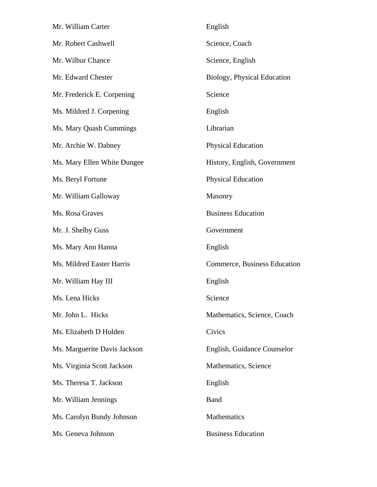| Mr. William Carter           | English                      |
|------------------------------|------------------------------|
| Mr. Robert Cashwell          | Science, Coach               |
| Mr. Wilbur Chance            | Science, English             |
| Mr. Edward Chester           | Biology, Physical Education  |
| Mr. Frederick E. Corpening   | Science                      |
| Ms. Mildred J. Corpening     | English                      |
| Ms. Mary Quash Cummings      | Librarian                    |
| Mr. Archie W. Dabney         | <b>Physical Education</b>    |
| Ms. Mary Ellen White Dungee  | History, English, Government |
| Ms. Beryl Fortune            | <b>Physical Education</b>    |
| Mr. William Galloway         | Masonry                      |
| Ms. Rosa Graves              | <b>Business Education</b>    |
| Mr. J. Shelby Guss           | Government                   |
| Ms. Mary Ann Hanna           | English                      |
| Ms. Mildred Easter Harris    | Commerce, Business Education |
| Mr. William Hay III          | English                      |
| Ms. Lena Hicks               | Science                      |
| Mr. John L. Hicks            | Mathematics, Science, Coach  |
| Ms. Elizabeth D Holden       | Civics                       |
| Ms. Marguerite Davis Jackson | English, Guidance Counselor  |
| Ms. Virginia Scott Jackson   | Mathematics, Science         |
| Ms. Theresa T. Jackson       | English                      |
| Mr. William Jennings         | <b>Band</b>                  |
| Ms. Carolyn Bundy Johnson    | Mathematics                  |
| Ms. Geneva Johnson           | <b>Business Education</b>    |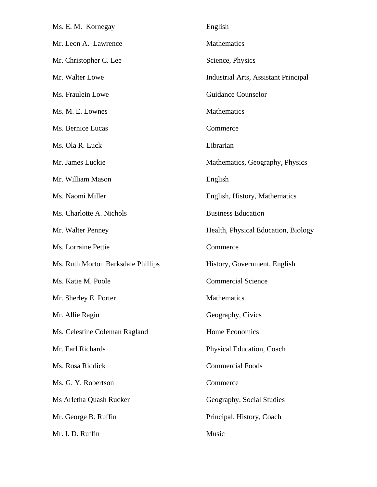| Ms. E. M. Kornegay                 | English                                     |
|------------------------------------|---------------------------------------------|
| Mr. Leon A. Lawrence               | Mathematics                                 |
| Mr. Christopher C. Lee             | Science, Physics                            |
| Mr. Walter Lowe                    | <b>Industrial Arts, Assistant Principal</b> |
| Ms. Fraulein Lowe                  | <b>Guidance Counselor</b>                   |
| Ms. M. E. Lownes                   | <b>Mathematics</b>                          |
| Ms. Bernice Lucas                  | Commerce                                    |
| Ms. Ola R. Luck                    | Librarian                                   |
| Mr. James Luckie                   | Mathematics, Geography, Physics             |
| Mr. William Mason                  | English                                     |
| Ms. Naomi Miller                   | English, History, Mathematics               |
| Ms. Charlotte A. Nichols           | <b>Business Education</b>                   |
| Mr. Walter Penney                  | Health, Physical Education, Biology         |
| Ms. Lorraine Pettie                | Commerce                                    |
| Ms. Ruth Morton Barksdale Phillips | History, Government, English                |
| Ms. Katie M. Poole                 | <b>Commercial Science</b>                   |
| Mr. Sherley E. Porter              | Mathematics                                 |
| Mr. Allie Ragin                    | Geography, Civics                           |
| Ms. Celestine Coleman Ragland      | Home Economics                              |
| Mr. Earl Richards                  | Physical Education, Coach                   |
| Ms. Rosa Riddick                   | <b>Commercial Foods</b>                     |
| Ms. G. Y. Robertson                | Commerce                                    |
| Ms Arletha Quash Rucker            | Geography, Social Studies                   |
| Mr. George B. Ruffin               | Principal, History, Coach                   |
| Mr. I. D. Ruffin                   | Music                                       |